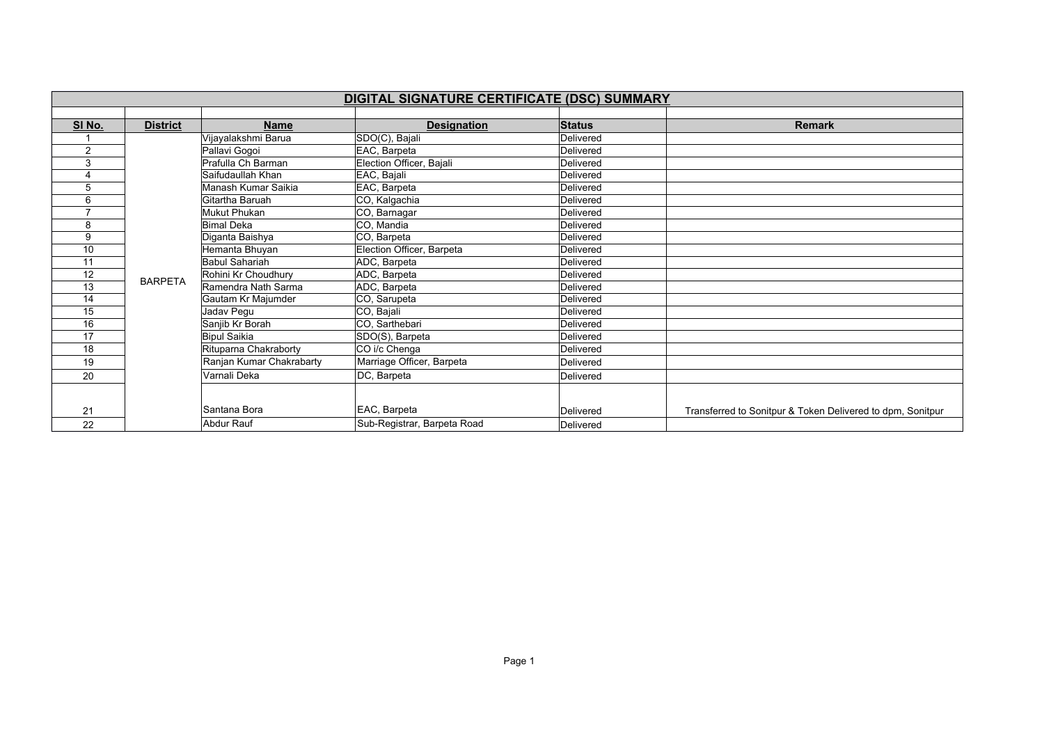|                         | DIGITAL SIGNATURE CERTIFICATE (DSC) SUMMARY |                          |                             |               |                                                            |  |  |  |
|-------------------------|---------------------------------------------|--------------------------|-----------------------------|---------------|------------------------------------------------------------|--|--|--|
|                         |                                             |                          |                             |               |                                                            |  |  |  |
| SI No.                  | <b>District</b>                             | <b>Name</b>              | <b>Designation</b>          | <b>Status</b> | <b>Remark</b>                                              |  |  |  |
|                         |                                             | Vijayalakshmi Barua      | SDO(C), Bajali              | Delivered     |                                                            |  |  |  |
| $\overline{2}$          |                                             | Pallavi Gogoi            | EAC, Barpeta                | Delivered     |                                                            |  |  |  |
| 3                       |                                             | Prafulla Ch Barman       | Election Officer, Bajali    | Delivered     |                                                            |  |  |  |
| $\overline{\mathbf{4}}$ |                                             | Saifudaullah Khan        | EAC, Bajali                 | Delivered     |                                                            |  |  |  |
| 5                       |                                             | Manash Kumar Saikia      | EAC, Barpeta                | Delivered     |                                                            |  |  |  |
| 6                       |                                             | Gitartha Baruah          | CO, Kalgachia               | Delivered     |                                                            |  |  |  |
| ⇁                       |                                             | Mukut Phukan             | CO, Barnagar                | Delivered     |                                                            |  |  |  |
| 8                       |                                             | <b>Bimal Deka</b>        | CO, Mandia                  | Delivered     |                                                            |  |  |  |
| 9                       |                                             | Diganta Baishya          | CO, Barpeta                 | Delivered     |                                                            |  |  |  |
| 10                      |                                             | Hemanta Bhuyan           | Election Officer, Barpeta   | Delivered     |                                                            |  |  |  |
| 11                      |                                             | <b>Babul Sahariah</b>    | ADC, Barpeta                | Delivered     |                                                            |  |  |  |
| 12                      |                                             | Rohini Kr Choudhury      | ADC, Barpeta                | Delivered     |                                                            |  |  |  |
| 13                      | <b>BARPETA</b>                              | Ramendra Nath Sarma      | ADC, Barpeta                | Delivered     |                                                            |  |  |  |
| 14                      |                                             | Gautam Kr Majumder       | CO, Sarupeta                | Delivered     |                                                            |  |  |  |
| 15                      |                                             | Jadav Pegu               | CO, Bajali                  | Delivered     |                                                            |  |  |  |
| 16                      |                                             | Sanjib Kr Borah          | CO, Sarthebari              | Delivered     |                                                            |  |  |  |
| 17                      |                                             | <b>Bipul Saikia</b>      | SDO(S), Barpeta             | Delivered     |                                                            |  |  |  |
| 18                      |                                             | Rituparna Chakraborty    | CO i/c Chenga               | Delivered     |                                                            |  |  |  |
| 19                      |                                             | Ranjan Kumar Chakrabarty | Marriage Officer, Barpeta   | Delivered     |                                                            |  |  |  |
| 20                      |                                             | Varnali Deka             | DC, Barpeta                 | Delivered     |                                                            |  |  |  |
|                         |                                             |                          |                             |               |                                                            |  |  |  |
| 21                      |                                             | Santana Bora             | EAC, Barpeta                | Delivered     | Transferred to Sonitpur & Token Delivered to dpm, Sonitpur |  |  |  |
| 22                      |                                             | Abdur Rauf               | Sub-Registrar, Barpeta Road | Delivered     |                                                            |  |  |  |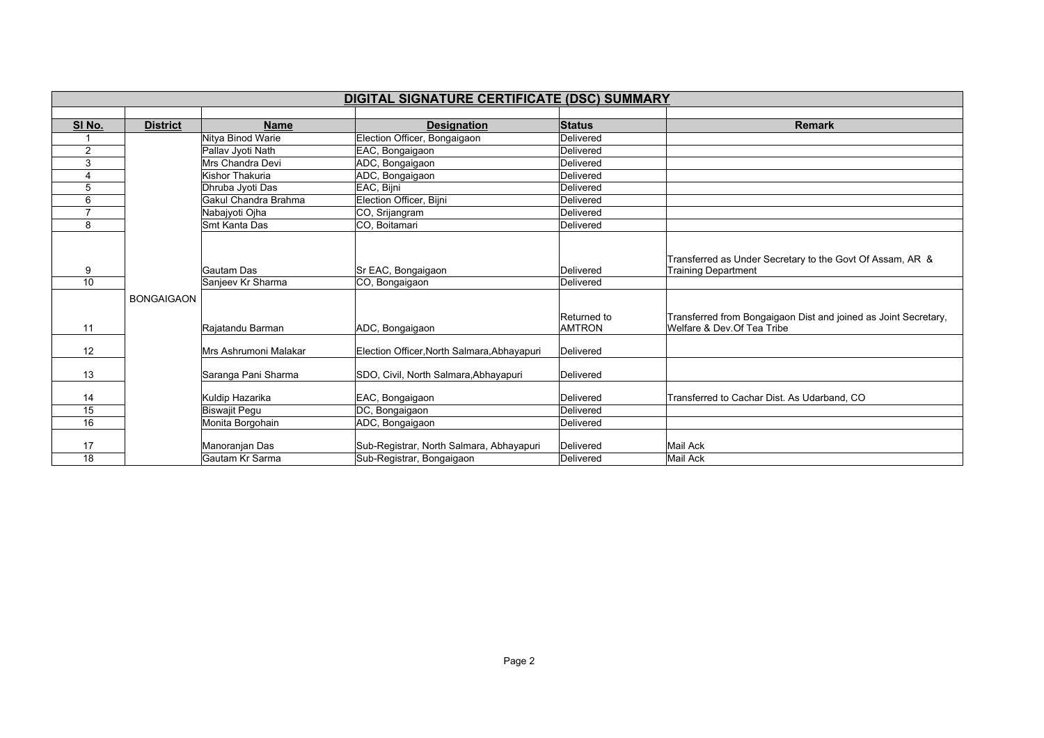|                | DIGITAL SIGNATURE CERTIFICATE (DSC) SUMMARY |                                   |                                                                       |                              |                                                                                               |  |  |  |
|----------------|---------------------------------------------|-----------------------------------|-----------------------------------------------------------------------|------------------------------|-----------------------------------------------------------------------------------------------|--|--|--|
|                |                                             |                                   |                                                                       |                              |                                                                                               |  |  |  |
| SI No.         | <b>District</b>                             | <b>Name</b>                       | <b>Designation</b>                                                    | <b>Status</b>                | <b>Remark</b>                                                                                 |  |  |  |
|                |                                             | Nitya Binod Warie                 | Election Officer, Bongaigaon                                          | Delivered                    |                                                                                               |  |  |  |
| $\overline{2}$ |                                             | Pallav Jyoti Nath                 | EAC, Bongaigaon                                                       | Delivered                    |                                                                                               |  |  |  |
| 3              |                                             | Mrs Chandra Devi                  | ADC, Bongaigaon                                                       | Delivered                    |                                                                                               |  |  |  |
|                |                                             | Kishor Thakuria                   | ADC, Bongaigaon                                                       | Delivered                    |                                                                                               |  |  |  |
| 5              |                                             | Dhruba Jyoti Das                  | EAC, Bijni                                                            | Delivered                    |                                                                                               |  |  |  |
| 6              |                                             | Gakul Chandra Brahma              | Election Officer, Bijni                                               | Delivered                    |                                                                                               |  |  |  |
|                |                                             | Nabajyoti Ojha                    | CO, Srijangram                                                        | Delivered                    |                                                                                               |  |  |  |
| 8              |                                             | Smt Kanta Das                     | CO, Boitamari                                                         | Delivered                    |                                                                                               |  |  |  |
|                |                                             |                                   |                                                                       |                              | Transferred as Under Secretary to the Govt Of Assam, AR &                                     |  |  |  |
| 9              |                                             | Gautam Das                        | Sr EAC, Bongaigaon                                                    | Delivered                    | <b>Training Department</b>                                                                    |  |  |  |
| 10             |                                             | Sanjeev Kr Sharma                 | CO, Bongaigaon                                                        | Delivered                    |                                                                                               |  |  |  |
| 11             | <b>BONGAIGAON</b>                           | Rajatandu Barman                  | ADC, Bongaigaon                                                       | Returned to<br><b>AMTRON</b> | Transferred from Bongaigaon Dist and joined as Joint Secretary,<br>Welfare & Dev Of Tea Tribe |  |  |  |
| 12             |                                             | Mrs Ashrumoni Malakar             | Election Officer, North Salmara, Abhayapuri                           | Delivered                    |                                                                                               |  |  |  |
| 13             |                                             | Saranga Pani Sharma               | SDO, Civil, North Salmara, Abhayapuri                                 | Delivered                    |                                                                                               |  |  |  |
| 14             |                                             | Kuldip Hazarika                   | EAC, Bongaigaon                                                       | Delivered                    | Transferred to Cachar Dist. As Udarband, CO                                                   |  |  |  |
| 15             |                                             | <b>Biswajit Pegu</b>              | DC, Bongaigaon                                                        | Delivered                    |                                                                                               |  |  |  |
| 16             |                                             | Monita Borgohain                  | ADC, Bongaigaon                                                       | Delivered                    |                                                                                               |  |  |  |
| 17<br>18       |                                             | Manoranjan Das<br>Gautam Kr Sarma | Sub-Registrar, North Salmara, Abhayapuri<br>Sub-Registrar, Bongaigaon | Delivered<br>Delivered       | Mail Ack<br>Mail Ack                                                                          |  |  |  |
|                |                                             |                                   |                                                                       |                              |                                                                                               |  |  |  |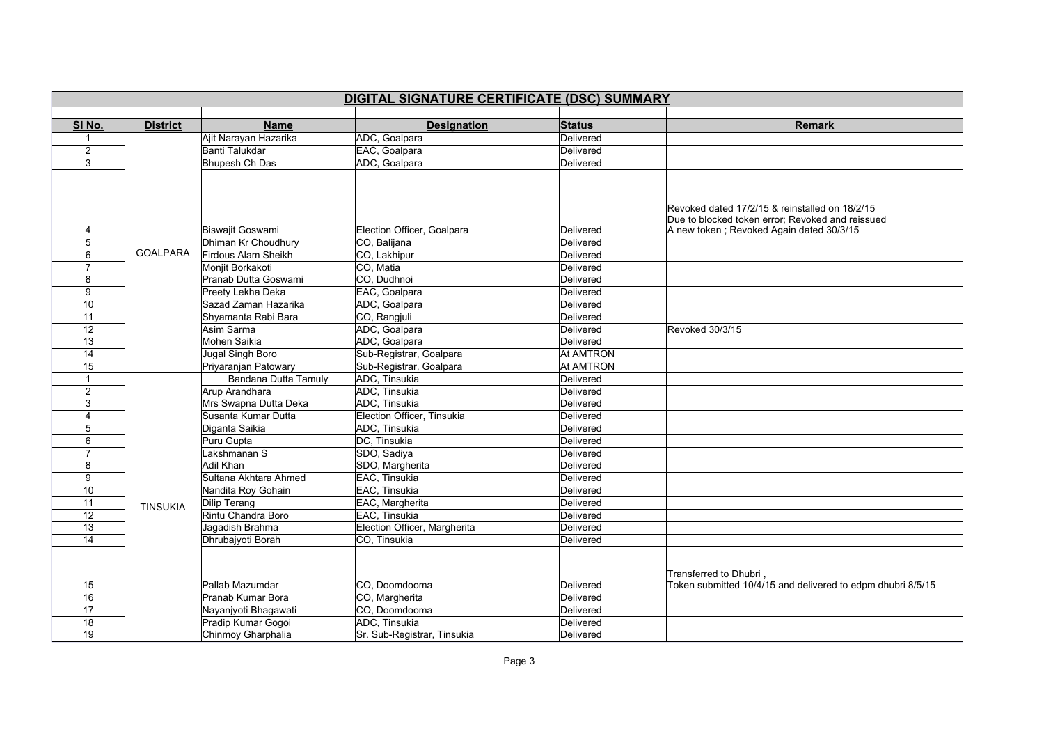| DIGITAL SIGNATURE CERTIFICATE (DSC) SUMMARY |                 |                                                |                                            |                        |                                                                                                                                                |  |
|---------------------------------------------|-----------------|------------------------------------------------|--------------------------------------------|------------------------|------------------------------------------------------------------------------------------------------------------------------------------------|--|
|                                             |                 |                                                |                                            |                        |                                                                                                                                                |  |
| SI No.                                      | <b>District</b> | <b>Name</b>                                    | <b>Designation</b>                         | <b>Status</b>          | <b>Remark</b>                                                                                                                                  |  |
|                                             |                 | Ajit Narayan Hazarika                          | ADC, Goalpara                              | Delivered              |                                                                                                                                                |  |
| $\overline{2}$                              |                 | Banti Talukdar                                 | EAC, Goalpara                              | Delivered              |                                                                                                                                                |  |
| 3                                           |                 | <b>Bhupesh Ch Das</b>                          | ADC, Goalpara                              | Delivered              |                                                                                                                                                |  |
| 4<br>5                                      |                 | <b>Biswajit Goswami</b><br>Dhiman Kr Choudhury | Election Officer, Goalpara<br>CO, Balijana | Delivered<br>Delivered | Revoked dated 17/2/15 & reinstalled on 18/2/15<br>Due to blocked token error; Revoked and reissued<br>A new token; Revoked Again dated 30/3/15 |  |
| 6                                           | <b>GOALPARA</b> | Firdous Alam Sheikh                            | CO, Lakhipur                               | Delivered              |                                                                                                                                                |  |
| $\overline{7}$                              |                 | Monjit Borkakoti                               | CO, Matia                                  | Delivered              |                                                                                                                                                |  |
| 8                                           |                 | Pranab Dutta Goswami                           | CO, Dudhnoi                                | Delivered              |                                                                                                                                                |  |
| 9                                           |                 | Preety Lekha Deka                              | EAC, Goalpara                              | Delivered              |                                                                                                                                                |  |
| 10                                          |                 | Sazad Zaman Hazarika                           | ADC, Goalpara                              | Delivered              |                                                                                                                                                |  |
| 11                                          |                 | Shyamanta Rabi Bara                            | CO, Rangjuli                               | Delivered              |                                                                                                                                                |  |
| $\overline{12}$                             |                 | Asim Sarma                                     | ADC, Goalpara                              | Delivered              | Revoked 30/3/15                                                                                                                                |  |
| 13                                          |                 | Mohen Saikia                                   | ADC, Goalpara                              | Delivered              |                                                                                                                                                |  |
| 14                                          |                 | Jugal Singh Boro                               | Sub-Registrar, Goalpara                    | <b>At AMTRON</b>       |                                                                                                                                                |  |
| 15                                          |                 | Priyaranjan Patowary                           | Sub-Registrar, Goalpara                    | <b>At AMTRON</b>       |                                                                                                                                                |  |
| $\mathbf{1}$                                |                 | Bandana Dutta Tamuly                           | ADC, Tinsukia                              | Delivered              |                                                                                                                                                |  |
| $\overline{2}$                              |                 | Arup Arandhara                                 | ADC, Tinsukia                              | Delivered              |                                                                                                                                                |  |
| 3                                           |                 | Mrs Swapna Dutta Deka                          | ADC, Tinsukia                              | Delivered              |                                                                                                                                                |  |
| 4                                           |                 | Susanta Kumar Dutta                            | Election Officer, Tinsukia                 | Delivered              |                                                                                                                                                |  |
| 5                                           |                 | Diganta Saikia                                 | ADC, Tinsukia                              | Delivered              |                                                                                                                                                |  |
| 6                                           |                 | Puru Gupta                                     | DC, Tinsukia                               | Delivered              |                                                                                                                                                |  |
| 7                                           |                 | Lakshmanan S                                   | SDO, Sadiya                                | Delivered              |                                                                                                                                                |  |
| 8                                           |                 | Adil Khan                                      | SDO, Margherita                            | Delivered              |                                                                                                                                                |  |
| 9                                           |                 | Sultana Akhtara Ahmed                          | EAC, Tinsukia                              | Delivered              |                                                                                                                                                |  |
| 10                                          |                 | Nandita Roy Gohain                             | EAC, Tinsukia                              | Delivered              |                                                                                                                                                |  |
| 11                                          | <b>TINSUKIA</b> | Dilip Terang                                   | EAC, Margherita                            | Delivered              |                                                                                                                                                |  |
| $\overline{12}$                             |                 | Rintu Chandra Boro                             | EAC, Tinsukia                              | Delivered              |                                                                                                                                                |  |
| $\overline{13}$                             |                 | Jagadish Brahma                                | Election Officer, Margherita               | Delivered              |                                                                                                                                                |  |
| 14                                          |                 | Dhrubajyoti Borah                              | CO, Tinsukia                               | Delivered              |                                                                                                                                                |  |
| 15                                          |                 | Pallab Mazumdar                                | CO, Doomdooma                              | Delivered              | Transferred to Dhubri<br>Token submitted 10/4/15 and delivered to edpm dhubri 8/5/15                                                           |  |
| 16                                          |                 | Pranab Kumar Bora                              | CO, Margherita                             | Delivered              |                                                                                                                                                |  |
| 17                                          |                 | Nayanjyoti Bhagawati                           | CO, Doomdooma                              | Delivered              |                                                                                                                                                |  |
| 18                                          |                 | Pradip Kumar Gogoi                             | ADC, Tinsukia                              | Delivered              |                                                                                                                                                |  |
| 19                                          |                 | Chinmoy Gharphalia                             | Sr. Sub-Registrar, Tinsukia                | Delivered              |                                                                                                                                                |  |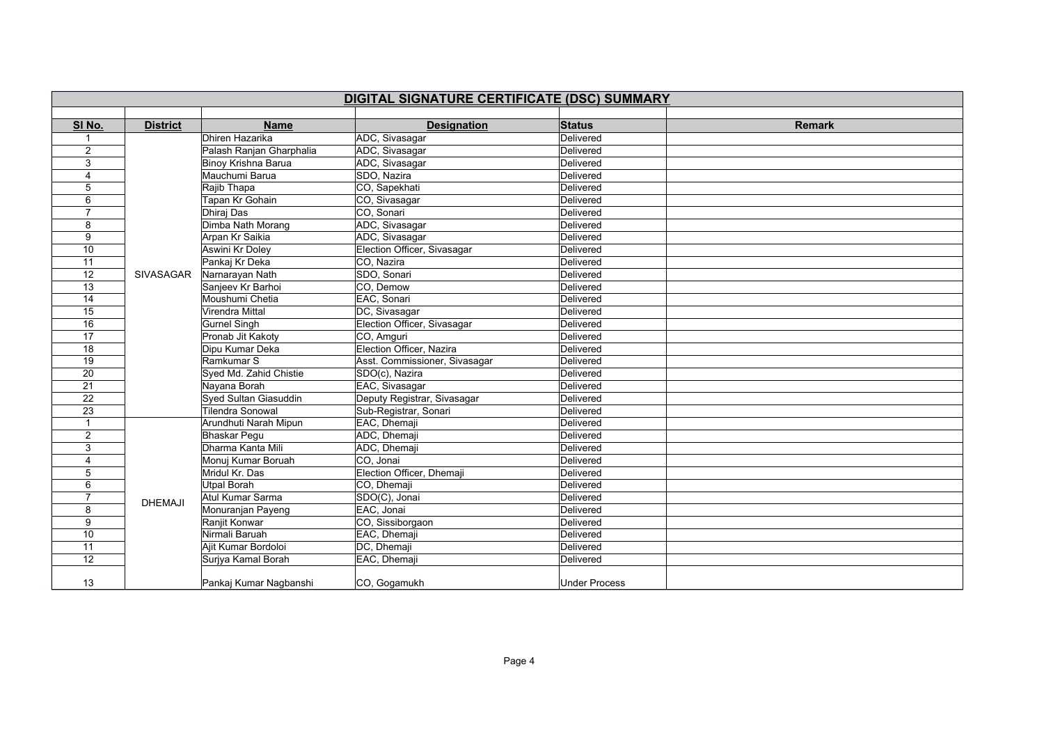|                 | DIGITAL SIGNATURE CERTIFICATE (DSC) SUMMARY |                          |                               |                      |               |  |
|-----------------|---------------------------------------------|--------------------------|-------------------------------|----------------------|---------------|--|
| SI No.          | <b>District</b>                             | <b>Name</b>              | <b>Designation</b>            | <b>Status</b>        | <b>Remark</b> |  |
| $\mathbf{1}$    |                                             | Dhiren Hazarika          | ADC, Sivasagar                | Delivered            |               |  |
| 2               |                                             | Palash Ranjan Gharphalia | ADC, Sivasagar                | Delivered            |               |  |
| 3               |                                             | Binoy Krishna Barua      | ADC, Sivasagar                | Delivered            |               |  |
| 4               |                                             | Mauchumi Barua           | SDO, Nazira                   | Delivered            |               |  |
| 5               |                                             | Rajib Thapa              | CO, Sapekhati                 | Delivered            |               |  |
| 6               |                                             | Tapan Kr Gohain          | CO, Sivasagar                 | Delivered            |               |  |
| $\overline{7}$  |                                             | Dhiraj Das               | CO, Sonari                    | Delivered            |               |  |
| 8               |                                             | Dimba Nath Morang        | ADC, Sivasagar                | Delivered            |               |  |
| 9               |                                             | Arpan Kr Saikia          | ADC, Sivasagar                | Delivered            |               |  |
| 10              |                                             | Aswini Kr Doley          | Election Officer, Sivasagar   | Delivered            |               |  |
| $\overline{11}$ |                                             | Pankaj Kr Deka           | CO, Nazira                    | Delivered            |               |  |
| 12              | <b>SIVASAGAR</b>                            | Narnarayan Nath          | SDO, Sonari                   | Delivered            |               |  |
| $\overline{13}$ |                                             | Sanjeev Kr Barhoi        | CO. Demow                     | Delivered            |               |  |
| 14              |                                             | Moushumi Chetia          | EAC, Sonari                   | Delivered            |               |  |
| 15              |                                             | Virendra Mittal          | DC, Sivasagar                 | Delivered            |               |  |
| 16              |                                             | <b>Gurnel Singh</b>      | Election Officer, Sivasagar   | Delivered            |               |  |
| $\overline{17}$ |                                             | Pronab Jit Kakoty        | CO, Amguri                    | Delivered            |               |  |
| 18              |                                             | Dipu Kumar Deka          | Election Officer, Nazira      | Delivered            |               |  |
| $\overline{19}$ |                                             | Ramkumar S               | Asst. Commissioner, Sivasagar | Delivered            |               |  |
| 20              |                                             | Syed Md. Zahid Chistie   | SDO(c), Nazira                | Delivered            |               |  |
| 21              |                                             | Nayana Borah             | EAC, Sivasagar                | Delivered            |               |  |
| $\overline{22}$ |                                             | Syed Sultan Giasuddin    | Deputy Registrar, Sivasagar   | Delivered            |               |  |
| 23              |                                             | <b>Tilendra Sonowal</b>  | Sub-Registrar, Sonari         | Delivered            |               |  |
| 1               |                                             | Arundhuti Narah Mipun    | EAC, Dhemaji                  | Delivered            |               |  |
| 2               |                                             | <b>Bhaskar Pegu</b>      | ADC, Dhemaji                  | Delivered            |               |  |
| 3               |                                             | Dharma Kanta Mili        | ADC, Dhemaji                  | Delivered            |               |  |
| 4               |                                             | Monuj Kumar Boruah       | CO, Jonai                     | Delivered            |               |  |
| 5               |                                             | Mridul Kr. Das           | Election Officer, Dhemaji     | Delivered            |               |  |
| 6               |                                             | <b>Utpal Borah</b>       | CO, Dhemaji                   | Delivered            |               |  |
| 7               | <b>DHEMAJI</b>                              | Atul Kumar Sarma         | SDO(C), Jonai                 | Delivered            |               |  |
| 8               |                                             | Monuranjan Payeng        | EAC, Jonai                    | Delivered            |               |  |
| 9               |                                             | Ranjit Konwar            | CO, Sissiborgaon              | Delivered            |               |  |
| 10              |                                             | Nirmali Baruah           | EAC, Dhemaji                  | Delivered            |               |  |
| 11              |                                             | Ajit Kumar Bordoloi      | DC, Dhemaji                   | Delivered            |               |  |
| $\overline{12}$ |                                             | Surjya Kamal Borah       | EAC, Dhemaji                  | Delivered            |               |  |
| 13              |                                             | Pankaj Kumar Nagbanshi   | CO, Gogamukh                  | <b>Under Process</b> |               |  |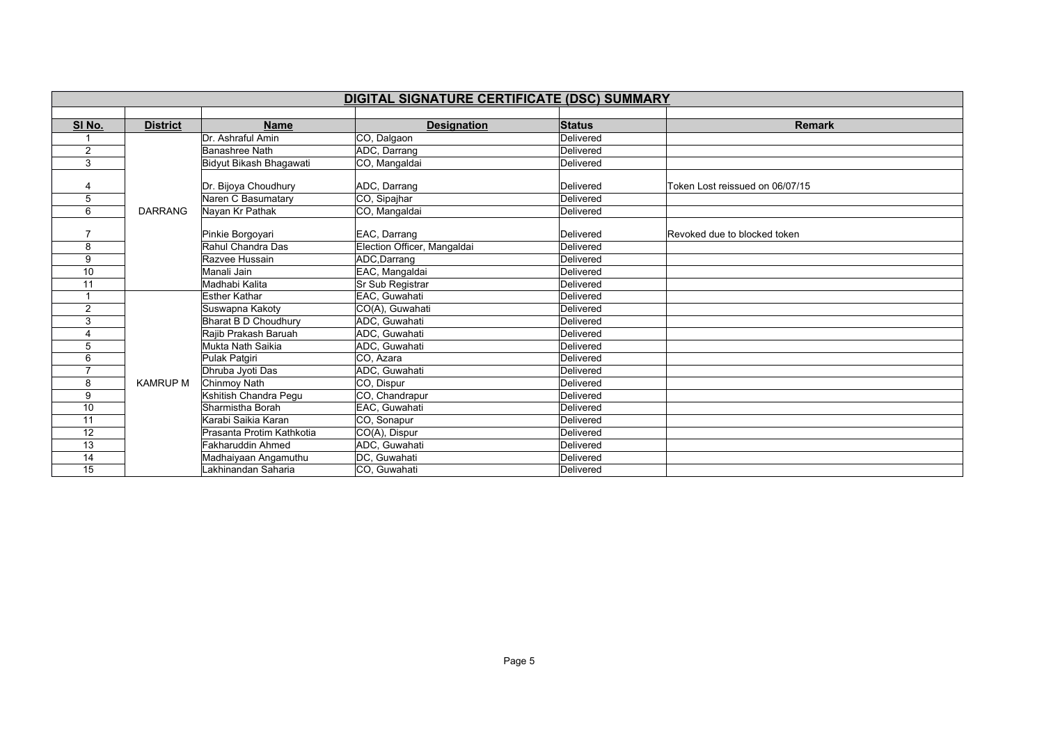|                | DIGITAL SIGNATURE CERTIFICATE (DSC) SUMMARY |                           |                             |               |                                 |  |  |
|----------------|---------------------------------------------|---------------------------|-----------------------------|---------------|---------------------------------|--|--|
|                |                                             |                           |                             |               |                                 |  |  |
| SI No.         | <b>District</b>                             | <b>Name</b>               | <b>Designation</b>          | <b>Status</b> | <b>Remark</b>                   |  |  |
|                |                                             | Dr. Ashraful Amin         | CO, Dalgaon                 | Delivered     |                                 |  |  |
| $\overline{2}$ |                                             | <b>Banashree Nath</b>     | ADC, Darrang                | Delivered     |                                 |  |  |
| 3              |                                             | Bidyut Bikash Bhagawati   | CO, Mangaldai               | Delivered     |                                 |  |  |
|                |                                             |                           |                             |               |                                 |  |  |
| 4              |                                             | Dr. Bijoya Choudhury      | ADC, Darrang                | Delivered     | Token Lost reissued on 06/07/15 |  |  |
| 5              |                                             | Naren C Basumatary        | CO, Sipajhar                | Delivered     |                                 |  |  |
| 6              | <b>DARRANG</b>                              | Nayan Kr Pathak           | CO, Mangaldai               | Delivered     |                                 |  |  |
|                |                                             |                           |                             |               |                                 |  |  |
|                |                                             | Pinkie Borgoyari          | EAC, Darrang                | Delivered     | Revoked due to blocked token    |  |  |
| 8              |                                             | Rahul Chandra Das         | Election Officer, Mangaldai | Delivered     |                                 |  |  |
| 9              |                                             | Razvee Hussain            | ADC, Darrang                | Delivered     |                                 |  |  |
| 10             |                                             | Manali Jain               | EAC, Mangaldai              | Delivered     |                                 |  |  |
| 11             |                                             | Madhabi Kalita            | Sr Sub Registrar            | Delivered     |                                 |  |  |
|                |                                             | <b>Esther Kathar</b>      | EAC, Guwahati               | Delivered     |                                 |  |  |
| $\overline{2}$ |                                             | Suswapna Kakoty           | CO(A), Guwahati             | Delivered     |                                 |  |  |
| 3              |                                             | Bharat B D Choudhury      | ADC, Guwahati               | Delivered     |                                 |  |  |
|                |                                             | Rajib Prakash Baruah      | ADC, Guwahati               | Delivered     |                                 |  |  |
| 5              |                                             | Mukta Nath Saikia         | ADC, Guwahati               | Delivered     |                                 |  |  |
| 6              |                                             | Pulak Patqiri             | CO, Azara                   | Delivered     |                                 |  |  |
|                |                                             | Dhruba Jyoti Das          | ADC, Guwahati               | Delivered     |                                 |  |  |
| 8              | <b>KAMRUP M</b>                             | Chinmoy Nath              | CO, Dispur                  | Delivered     |                                 |  |  |
| 9              |                                             | Kshitish Chandra Pequ     | CO, Chandrapur              | Delivered     |                                 |  |  |
| 10             |                                             | Sharmistha Borah          | EAC, Guwahati               | Delivered     |                                 |  |  |
| 11             |                                             | Karabi Saikia Karan       | CO, Sonapur                 | Delivered     |                                 |  |  |
| 12             |                                             | Prasanta Protim Kathkotia | CO(A), Dispur               | Delivered     |                                 |  |  |
| 13             |                                             | <b>Fakharuddin Ahmed</b>  | ADC, Guwahati               | Delivered     |                                 |  |  |
| 14             |                                             | Madhaiyaan Angamuthu      | DC, Guwahati                | Delivered     |                                 |  |  |
| 15             |                                             | Lakhinandan Saharia       | CO, Guwahati                | Delivered     |                                 |  |  |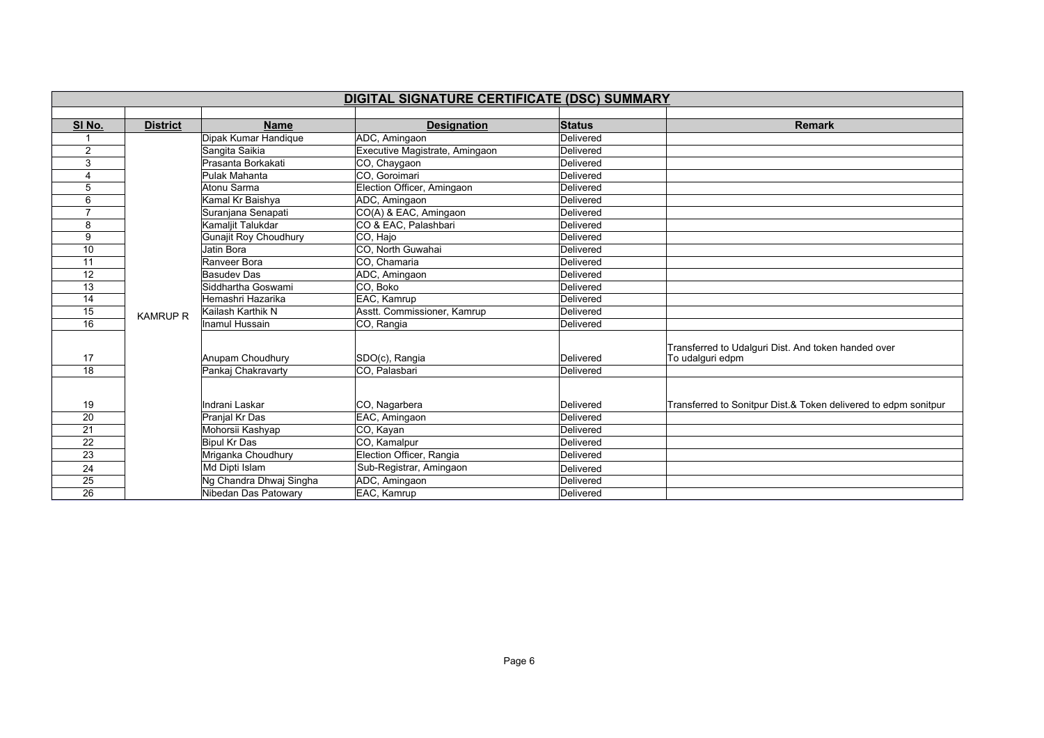|                | DIGITAL SIGNATURE CERTIFICATE (DSC) SUMMARY |                                        |                                 |                        |                                                                         |  |  |
|----------------|---------------------------------------------|----------------------------------------|---------------------------------|------------------------|-------------------------------------------------------------------------|--|--|
|                |                                             |                                        |                                 |                        |                                                                         |  |  |
| SI No.         | <b>District</b>                             | <b>Name</b>                            | <b>Designation</b>              | <b>Status</b>          | <b>Remark</b>                                                           |  |  |
|                |                                             | Dipak Kumar Handique                   | ADC, Amingaon                   | Delivered              |                                                                         |  |  |
| $\overline{2}$ |                                             | Sangita Saikia                         | Executive Magistrate, Amingaon  | Delivered              |                                                                         |  |  |
| 3              |                                             | Prasanta Borkakati                     | CO, Chaygaon                    | Delivered              |                                                                         |  |  |
| 4              |                                             | Pulak Mahanta                          | CO. Goroimari                   | Delivered              |                                                                         |  |  |
| 5              |                                             | Atonu Sarma                            | Election Officer, Amingaon      | Delivered              |                                                                         |  |  |
| 6              |                                             | Kamal Kr Baishya                       | ADC, Amingaon                   | Delivered              |                                                                         |  |  |
| $\overline{7}$ |                                             | Suranjana Senapati                     | CO(A) & EAC, Amingaon           | Delivered              |                                                                         |  |  |
| 8              |                                             | Kamaljit Talukdar                      | CO & EAC, Palashbari            | Delivered              |                                                                         |  |  |
| 9              |                                             | <b>Gunajit Roy Choudhury</b>           | CO, Hajo                        | Delivered              |                                                                         |  |  |
| 10             |                                             | Jatin Bora                             | CO, North Guwahai               | Delivered              |                                                                         |  |  |
| 11             |                                             | Ranveer Bora                           | CO. Chamaria                    | Delivered              |                                                                         |  |  |
| 12             |                                             | <b>Basudev Das</b>                     | ADC, Amingaon                   | Delivered              |                                                                         |  |  |
| 13             |                                             | Siddhartha Goswami                     | CO, Boko                        | Delivered              |                                                                         |  |  |
| 14             |                                             | Hemashri Hazarika                      | EAC, Kamrup                     | Delivered              |                                                                         |  |  |
| 15             | <b>KAMRUP R</b>                             | Kailash Karthik N                      | Asstt. Commissioner, Kamrup     | Delivered              |                                                                         |  |  |
| 16             |                                             | Inamul Hussain                         | CO, Rangia                      | Delivered              |                                                                         |  |  |
| 17<br>18       |                                             | Anupam Choudhury<br>Pankaj Chakravarty | SDO(c), Rangia<br>CO, Palasbari | Delivered<br>Delivered | Transferred to Udalguri Dist. And token handed over<br>To udalguri edpm |  |  |
|                |                                             |                                        |                                 |                        |                                                                         |  |  |
| 19             |                                             | Indrani Laskar                         | CO, Nagarbera                   | Delivered              | Transferred to Sonitpur Dist.& Token delivered to edpm sonitpur         |  |  |
| 20             |                                             | Pranjal Kr Das                         | EAC, Amingaon                   | Delivered              |                                                                         |  |  |
| 21             |                                             | Mohorsii Kashyap                       | CO, Kayan                       | Delivered              |                                                                         |  |  |
| 22             |                                             | <b>Bipul Kr Das</b>                    | CO, Kamalpur                    | Delivered              |                                                                         |  |  |
| 23             |                                             | Mriganka Choudhury                     | Election Officer, Rangia        | Delivered              |                                                                         |  |  |
| 24             |                                             | Md Dipti Islam                         | Sub-Registrar, Amingaon         | Delivered              |                                                                         |  |  |
| 25             |                                             | Ng Chandra Dhwaj Singha                | ADC, Amingaon                   | Delivered              |                                                                         |  |  |
| 26             |                                             | Nibedan Das Patowary                   | EAC, Kamrup                     | Delivered              |                                                                         |  |  |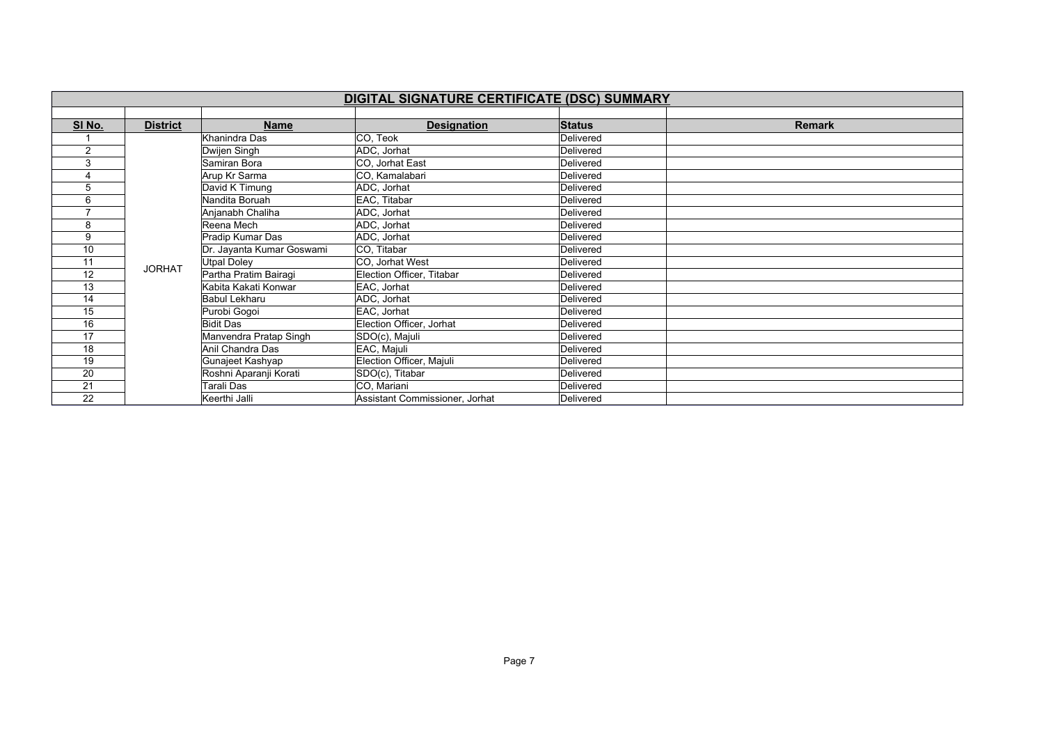|        | DIGITAL SIGNATURE CERTIFICATE (DSC) SUMMARY |                           |                                |               |        |  |  |  |
|--------|---------------------------------------------|---------------------------|--------------------------------|---------------|--------|--|--|--|
|        |                                             |                           |                                |               |        |  |  |  |
| SI No. | <b>District</b>                             | <b>Name</b>               | <b>Designation</b>             | <b>Status</b> | Remark |  |  |  |
|        |                                             | Khanindra Das             | CO, Teok                       | Delivered     |        |  |  |  |
| 2      |                                             | Dwijen Singh              | ADC, Jorhat                    | Delivered     |        |  |  |  |
| 3      |                                             | Samiran Bora              | CO, Jorhat East                | Delivered     |        |  |  |  |
|        |                                             | Arup Kr Sarma             | CO, Kamalabari                 | Delivered     |        |  |  |  |
| 5      |                                             | David K Timung            | ADC, Jorhat                    | Delivered     |        |  |  |  |
| 6      |                                             | Nandita Boruah            | EAC, Titabar                   | Delivered     |        |  |  |  |
|        |                                             | Anjanabh Chaliha          | ADC, Jorhat                    | Delivered     |        |  |  |  |
| 8      |                                             | Reena Mech                | ADC, Jorhat                    | Delivered     |        |  |  |  |
| 9      |                                             | Pradip Kumar Das          | ADC, Jorhat                    | Delivered     |        |  |  |  |
| 10     |                                             | Dr. Jayanta Kumar Goswami | CO. Titabar                    | Delivered     |        |  |  |  |
| 11     | <b>JORHAT</b>                               | <b>Utpal Doley</b>        | CO, Jorhat West                | Delivered     |        |  |  |  |
| 12     |                                             | Partha Pratim Bairagi     | Election Officer, Titabar      | Delivered     |        |  |  |  |
| 13     |                                             | Kabita Kakati Konwar      | EAC, Jorhat                    | Delivered     |        |  |  |  |
| 14     |                                             | <b>Babul Lekharu</b>      | ADC, Jorhat                    | Delivered     |        |  |  |  |
| 15     |                                             | Purobi Gogoi              | EAC, Jorhat                    | Delivered     |        |  |  |  |
| 16     |                                             | <b>Bidit Das</b>          | Election Officer, Jorhat       | Delivered     |        |  |  |  |
| 17     |                                             | Manvendra Pratap Singh    | SDO(c), Majuli                 | Delivered     |        |  |  |  |
| 18     |                                             | Anil Chandra Das          | EAC, Majuli                    | Delivered     |        |  |  |  |
| 19     |                                             | Gunajeet Kashyap          | Election Officer, Majuli       | Delivered     |        |  |  |  |
| 20     |                                             | Roshni Aparanji Korati    | SDO(c), Titabar                | Delivered     |        |  |  |  |
| 21     |                                             | Tarali Das                | CO, Mariani                    | Delivered     |        |  |  |  |
| 22     |                                             | Keerthi Jalli             | Assistant Commissioner, Jorhat | Delivered     |        |  |  |  |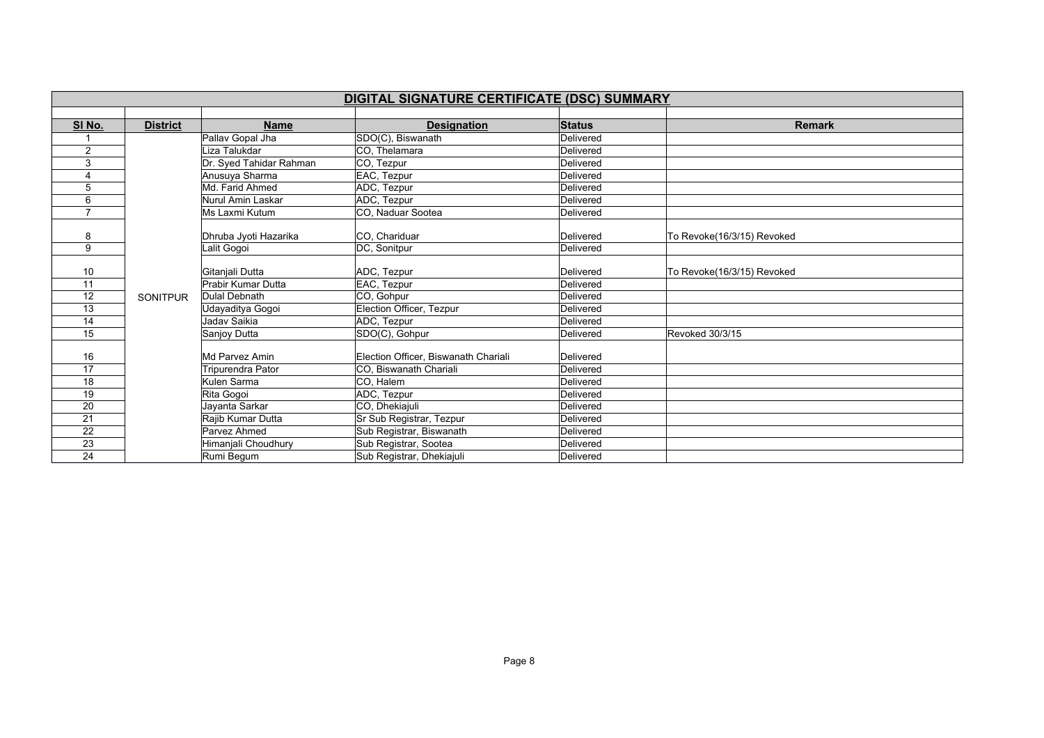| DIGITAL SIGNATURE CERTIFICATE (DSC) SUMMARY |                 |                         |                                      |               |                            |  |  |
|---------------------------------------------|-----------------|-------------------------|--------------------------------------|---------------|----------------------------|--|--|
|                                             |                 |                         |                                      |               |                            |  |  |
| SI No.                                      | <b>District</b> | <b>Name</b>             | <b>Designation</b>                   | <b>Status</b> | <b>Remark</b>              |  |  |
|                                             |                 | Pallav Gopal Jha        | SDO(C), Biswanath                    | Delivered     |                            |  |  |
| $\overline{2}$                              |                 | Liza Talukdar           | CO, Thelamara                        | Delivered     |                            |  |  |
| 3                                           |                 | Dr. Syed Tahidar Rahman | CO, Tezpur                           | Delivered     |                            |  |  |
| 4                                           |                 | Anusuya Sharma          | EAC, Tezpur                          | Delivered     |                            |  |  |
| 5                                           |                 | Md. Farid Ahmed         | ADC, Tezpur                          | Delivered     |                            |  |  |
| 6                                           |                 | Nurul Amin Laskar       | ADC, Tezpur                          | Delivered     |                            |  |  |
| $\overline{7}$                              |                 | Ms Laxmi Kutum          | CO, Naduar Sootea                    | Delivered     |                            |  |  |
|                                             |                 |                         |                                      |               |                            |  |  |
| 8                                           |                 | Dhruba Jyoti Hazarika   | CO. Chariduar                        | Delivered     | To Revoke(16/3/15) Revoked |  |  |
| 9                                           |                 | Lalit Gogoi             | DC, Sonitpur                         | Delivered     |                            |  |  |
|                                             |                 |                         |                                      |               |                            |  |  |
| 10                                          |                 | Gitanjali Dutta         | ADC, Tezpur                          | Delivered     | To Revoke(16/3/15) Revoked |  |  |
| 11                                          |                 | Prabir Kumar Dutta      | EAC, Tezpur                          | Delivered     |                            |  |  |
| 12                                          | <b>SONITPUR</b> | <b>Dulal Debnath</b>    | CO, Gohpur                           | Delivered     |                            |  |  |
| 13                                          |                 | Udayaditya Gogoi        | Election Officer, Tezpur             | Delivered     |                            |  |  |
| 14                                          |                 | Jadav Saikia            | ADC, Tezpur                          | Delivered     |                            |  |  |
| 15                                          |                 | Sanjoy Dutta            | SDO(C), Gohpur                       | Delivered     | Revoked 30/3/15            |  |  |
|                                             |                 |                         |                                      |               |                            |  |  |
| 16                                          |                 | Md Parvez Amin          | Election Officer, Biswanath Chariali | Delivered     |                            |  |  |
| 17                                          |                 | Tripurendra Pator       | CO. Biswanath Chariali               | Delivered     |                            |  |  |
| 18                                          |                 | Kulen Sarma             | CO, Halem                            | Delivered     |                            |  |  |
| 19                                          |                 | Rita Gogoi              | ADC, Tezpur                          | Delivered     |                            |  |  |
| 20                                          |                 | Jayanta Sarkar          | CO, Dhekiajuli                       | Delivered     |                            |  |  |
| 21                                          |                 | Rajib Kumar Dutta       | Sr Sub Registrar, Tezpur             | Delivered     |                            |  |  |
| 22                                          |                 | Parvez Ahmed            | Sub Registrar, Biswanath             | Delivered     |                            |  |  |
| 23                                          |                 | Himanjali Choudhury     | Sub Registrar, Sootea                | Delivered     |                            |  |  |
| 24                                          |                 | Rumi Begum              | Sub Registrar, Dhekiajuli            | Delivered     |                            |  |  |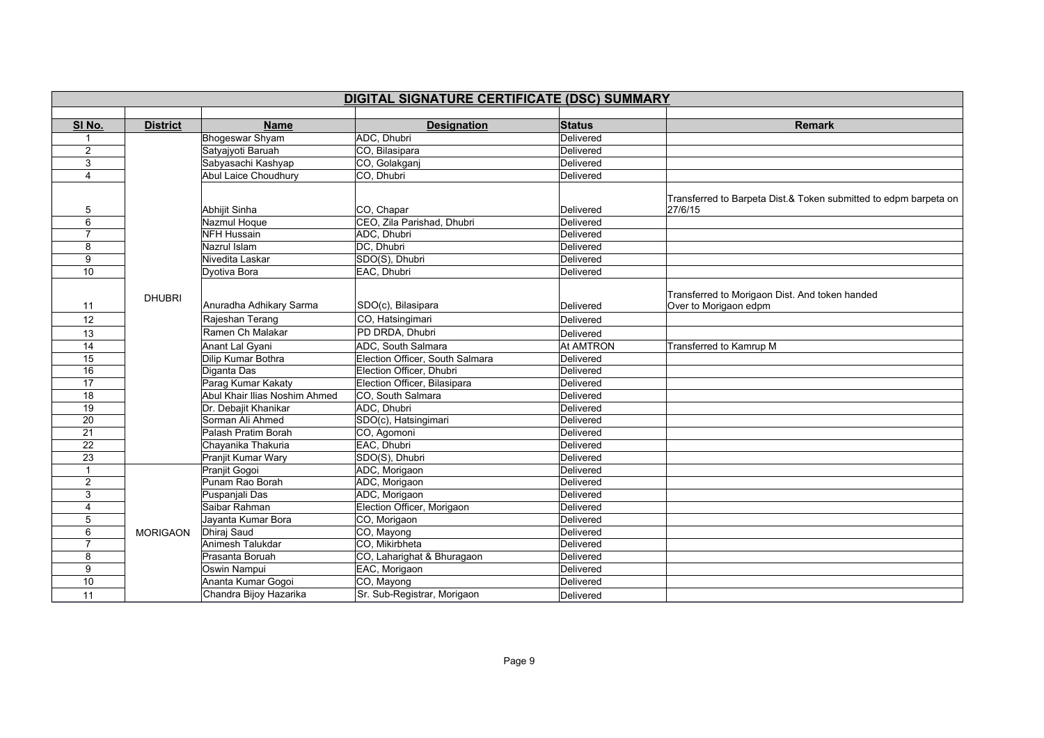|                 | DIGITAL SIGNATURE CERTIFICATE (DSC) SUMMARY |                               |                                 |                  |                                                                             |  |  |
|-----------------|---------------------------------------------|-------------------------------|---------------------------------|------------------|-----------------------------------------------------------------------------|--|--|
|                 |                                             |                               |                                 |                  |                                                                             |  |  |
| SI No.          | <b>District</b>                             | <b>Name</b>                   | <b>Designation</b>              | <b>Status</b>    | <b>Remark</b>                                                               |  |  |
|                 |                                             | <b>Bhogeswar Shyam</b>        | ADC, Dhubri                     | Delivered        |                                                                             |  |  |
| 2               |                                             | Satyajyoti Baruah             | CO, Bilasipara                  | Delivered        |                                                                             |  |  |
| 3               |                                             | Sabyasachi Kashyap            | CO, Golakganj                   | Delivered        |                                                                             |  |  |
| $\overline{4}$  |                                             | <b>Abul Laice Choudhury</b>   | CO, Dhubri                      | Delivered        |                                                                             |  |  |
| 5               |                                             | Abhijit Sinha                 | CO, Chapar                      | Delivered        | Transferred to Barpeta Dist.& Token submitted to edpm barpeta on<br>27/6/15 |  |  |
| 6               |                                             | Nazmul Hoque                  | CEO, Zila Parishad, Dhubri      | Delivered        |                                                                             |  |  |
| 7               |                                             | <b>NFH Hussain</b>            | ADC, Dhubri                     | Delivered        |                                                                             |  |  |
| 8               |                                             | Nazrul Islam                  | DC, Dhubri                      | Delivered        |                                                                             |  |  |
| 9               |                                             | Nivedita Laskar               | SDO(S), Dhubri                  | Delivered        |                                                                             |  |  |
| 10              |                                             | Dyotiva Bora                  | EAC, Dhubri                     | Delivered        |                                                                             |  |  |
| 11              | <b>DHUBRI</b>                               | Anuradha Adhikary Sarma       | SDO(c), Bilasipara              | Delivered        | Transferred to Morigaon Dist. And token handed<br>Over to Morigaon edpm     |  |  |
| 12              |                                             | Rajeshan Terang               | CO, Hatsingimari                | Delivered        |                                                                             |  |  |
| 13              |                                             | Ramen Ch Malakar              | PD DRDA, Dhubri                 | Delivered        |                                                                             |  |  |
| 14              |                                             | <b>Anant Lal Gyani</b>        | ADC, South Salmara              | <b>At AMTRON</b> | Transferred to Kamrup M                                                     |  |  |
| 15              |                                             | Dilip Kumar Bothra            | Election Officer, South Salmara | Delivered        |                                                                             |  |  |
| 16              |                                             | Diganta Das                   | Election Officer, Dhubri        | Delivered        |                                                                             |  |  |
| 17              |                                             | Parag Kumar Kakaty            | Election Officer, Bilasipara    | Delivered        |                                                                             |  |  |
| $\overline{18}$ |                                             | Abul Khair Ilias Noshim Ahmed | CO, South Salmara               | Delivered        |                                                                             |  |  |
| 19              |                                             | Dr. Debajit Khanikar          | ADC. Dhubri                     | Delivered        |                                                                             |  |  |
| 20              |                                             | Sorman Ali Ahmed              | SDO(c), Hatsingimari            | Delivered        |                                                                             |  |  |
| $\overline{21}$ |                                             | Palash Pratim Borah           | CO, Agomoni                     | Delivered        |                                                                             |  |  |
| $\overline{22}$ |                                             | Chayanika Thakuria            | EAC, Dhubri                     | Delivered        |                                                                             |  |  |
| 23              |                                             | Pranjit Kumar Wary            | SDO(S), Dhubri                  | Delivered        |                                                                             |  |  |
| $\mathbf{1}$    |                                             | Pranjit Gogoi                 | ADC, Morigaon                   | Delivered        |                                                                             |  |  |
| $\overline{2}$  |                                             | Punam Rao Borah               | ADC, Morigaon                   | Delivered        |                                                                             |  |  |
| 3               |                                             | Puspanjali Das                | ADC, Morigaon                   | Delivered        |                                                                             |  |  |
| 4               |                                             | Saibar Rahman                 | Election Officer, Morigaon      | Delivered        |                                                                             |  |  |
| 5               |                                             | Jayanta Kumar Bora            | CO, Morigaon                    | Delivered        |                                                                             |  |  |
| 6               | <b>MORIGAON</b>                             | Dhiraj Saud                   | CO, Mayong                      | Delivered        |                                                                             |  |  |
| 7               |                                             | Animesh Talukdar              | CO, Mikirbheta                  | Delivered        |                                                                             |  |  |
| 8               |                                             | Prasanta Boruah               | CO, Laharighat & Bhuragaon      | Delivered        |                                                                             |  |  |
| 9               |                                             | Oswin Nampui                  | EAC, Morigaon                   | Delivered        |                                                                             |  |  |
| 10              |                                             | Ananta Kumar Gogoi            | CO, Mayong                      | Delivered        |                                                                             |  |  |
| 11              |                                             | Chandra Bijoy Hazarika        | Sr. Sub-Registrar, Morigaon     | Delivered        |                                                                             |  |  |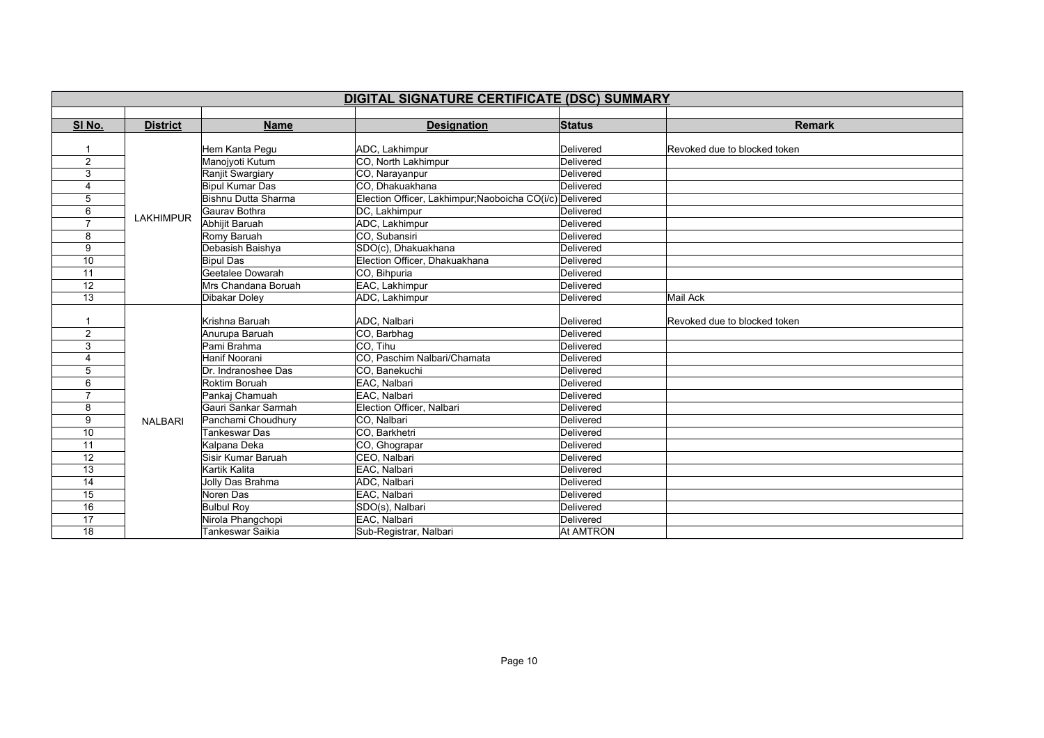| DIGITAL SIGNATURE CERTIFICATE (DSC) SUMMARY |                  |                            |                                                          |               |                              |  |
|---------------------------------------------|------------------|----------------------------|----------------------------------------------------------|---------------|------------------------------|--|
|                                             |                  |                            |                                                          |               |                              |  |
| SI No.                                      | <b>District</b>  | <b>Name</b>                | <b>Designation</b>                                       | <b>Status</b> | <b>Remark</b>                |  |
|                                             |                  |                            |                                                          |               |                              |  |
|                                             |                  | Hem Kanta Pegu             | ADC, Lakhimpur                                           | Delivered     | Revoked due to blocked token |  |
| 2                                           |                  | Manojyoti Kutum            | CO, North Lakhimpur                                      | Delivered     |                              |  |
| 3                                           |                  | Ranjit Swargiary           | CO, Narayanpur                                           | Delivered     |                              |  |
| 4                                           |                  | <b>Bipul Kumar Das</b>     | CO, Dhakuakhana                                          | Delivered     |                              |  |
| 5                                           |                  | <b>Bishnu Dutta Sharma</b> | Election Officer, Lakhimpur; Naoboicha CO(i/c) Delivered |               |                              |  |
| 6                                           | <b>LAKHIMPUR</b> | Gauray Bothra              | DC, Lakhimpur                                            | Delivered     |                              |  |
| $\overline{ }$                              |                  | Abhijit Baruah             | ADC, Lakhimpur                                           | Delivered     |                              |  |
| 8                                           |                  | Romy Baruah                | CO. Subansiri                                            | Delivered     |                              |  |
| 9                                           |                  | Debasish Baishya           | SDO(c), Dhakuakhana                                      | Delivered     |                              |  |
| 10                                          |                  | <b>Bipul Das</b>           | Election Officer, Dhakuakhana                            | Delivered     |                              |  |
| 11                                          |                  | Geetalee Dowarah           | CO, Bihpuria                                             | Delivered     |                              |  |
| $\overline{12}$                             |                  | Mrs Chandana Boruah        | EAC, Lakhimpur                                           | Delivered     |                              |  |
| 13                                          |                  | Dibakar Doley              | ADC, Lakhimpur                                           | Delivered     | Mail Ack                     |  |
|                                             |                  |                            |                                                          |               |                              |  |
|                                             |                  | Krishna Baruah             | ADC, Nalbari                                             | Delivered     | Revoked due to blocked token |  |
| $\mathbf{2}$                                |                  | Anurupa Baruah             | CO, Barbhag                                              | Delivered     |                              |  |
| 3                                           |                  | Pami Brahma                | CO. Tihu                                                 | Delivered     |                              |  |
| $\overline{4}$                              |                  | Hanif Noorani              | CO. Paschim Nalbari/Chamata                              | Delivered     |                              |  |
| 5                                           |                  | Dr. Indranoshee Das        | CO, Banekuchi                                            | Delivered     |                              |  |
| 6                                           |                  | Roktim Boruah              | EAC. Nalbari                                             | Delivered     |                              |  |
| $\overline{ }$                              |                  | Pankaj Chamuah             | EAC. Nalbari                                             | Delivered     |                              |  |
| 8                                           |                  | Gauri Sankar Sarmah        | Election Officer, Nalbari                                | Delivered     |                              |  |
| 9                                           | <b>NALBARI</b>   | Panchami Choudhury         | CO, Nalbari                                              | Delivered     |                              |  |
| $\overline{10}$                             |                  | Tankeswar Das              | CO, Barkhetri                                            | Delivered     |                              |  |
| 11                                          |                  | Kalpana Deka               | CO, Ghograpar                                            | Delivered     |                              |  |
| 12                                          |                  | Sisir Kumar Baruah         | CEO, Nalbari                                             | Delivered     |                              |  |
| 13                                          |                  | Kartik Kalita              | EAC, Nalbari                                             | Delivered     |                              |  |
| 14                                          |                  | Jolly Das Brahma           | ADC. Nalbari                                             | Delivered     |                              |  |
| 15                                          |                  | Noren Das                  | EAC, Nalbari                                             | Delivered     |                              |  |
| 16                                          |                  | <b>Bulbul Roy</b>          | SDO(s), Nalbari                                          | Delivered     |                              |  |
| 17                                          |                  | Nirola Phangchopi          | EAC, Nalbari                                             | Delivered     |                              |  |
| 18                                          |                  | <b>Tankeswar Saikia</b>    | Sub-Registrar, Nalbari                                   | At AMTRON     |                              |  |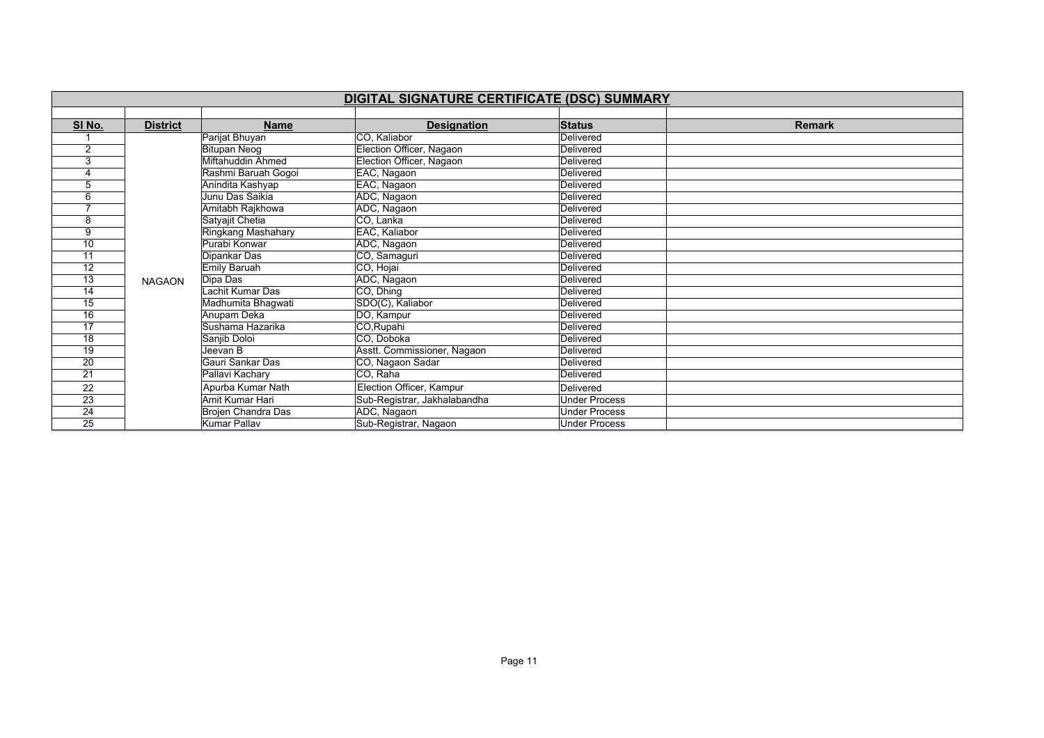|                 | DIGITAL SIGNATURE CERTIFICATE (DSC) SUMMARY |                     |                              |                      |               |  |  |
|-----------------|---------------------------------------------|---------------------|------------------------------|----------------------|---------------|--|--|
|                 |                                             |                     |                              |                      |               |  |  |
| SI No.          | <b>District</b>                             | <b>Name</b>         | <b>Designation</b>           | <b>Status</b>        | <b>Remark</b> |  |  |
|                 |                                             | Parijat Bhuyan      | CO, Kaliabor                 | Delivered            |               |  |  |
| $\overline{2}$  |                                             | <b>Bitupan Neog</b> | Election Officer, Nagaon     | Delivered            |               |  |  |
| 3               |                                             | Miftahuddin Ahmed   | Election Officer, Nagaon     | Delivered            |               |  |  |
| 4               |                                             | Rashmi Baruah Gogoi | EAC, Nagaon                  | Delivered            |               |  |  |
| 5               |                                             | Anindita Kashyap    | EAC, Nagaon                  | Delivered            |               |  |  |
| 6               |                                             | Junu Das Saikia     | ADC, Nagaon                  | Delivered            |               |  |  |
|                 |                                             | Amitabh Rajkhowa    | ADC, Nagaon                  | Delivered            |               |  |  |
| 8               |                                             | Satyajit Chetia     | CO, Lanka                    | Delivered            |               |  |  |
| 9               |                                             | Ringkang Mashahary  | EAC, Kaliabor                | Delivered            |               |  |  |
| 10              |                                             | Purabi Konwar       | ADC, Nagaon                  | Delivered            |               |  |  |
| 11              |                                             | Dipankar Das        | CO, Samaguri                 | Delivered            |               |  |  |
| 12              |                                             | Emily Baruah        | CO, Hojai                    | Delivered            |               |  |  |
| $\overline{13}$ | <b>NAGAON</b>                               | Dipa Das            | ADC, Nagaon                  | Delivered            |               |  |  |
| 14              |                                             | Lachit Kumar Das    | CO, Dhing                    | Delivered            |               |  |  |
| 15              |                                             | Madhumita Bhagwati  | SDO(C), Kaliabor             | Delivered            |               |  |  |
| 16              |                                             | Anupam Deka         | DO, Kampur                   | Delivered            |               |  |  |
| 17              |                                             | Sushama Hazarika    | CO, Rupahi                   | Delivered            |               |  |  |
| 18              |                                             | Sanjib Doloi        | CO, Doboka                   | Delivered            |               |  |  |
| 19              |                                             | Jeevan B            | Asstt. Commissioner, Nagaon  | Delivered            |               |  |  |
| $\overline{20}$ |                                             | Gauri Sankar Das    | CO, Nagaon Sadar             | Delivered            |               |  |  |
| 21              |                                             | Pallavi Kachary     | CO, Raha                     | Delivered            |               |  |  |
| 22              |                                             | Apurba Kumar Nath   | Election Officer, Kampur     | Delivered            |               |  |  |
| 23              |                                             | Amit Kumar Hari     | Sub-Registrar, Jakhalabandha | <b>Under Process</b> |               |  |  |
| $\overline{24}$ |                                             | Brojen Chandra Das  | ADC, Nagaon                  | <b>Under Process</b> |               |  |  |
| $\overline{25}$ |                                             | Kumar Pallav        | Sub-Registrar, Nagaon        | <b>Under Process</b> |               |  |  |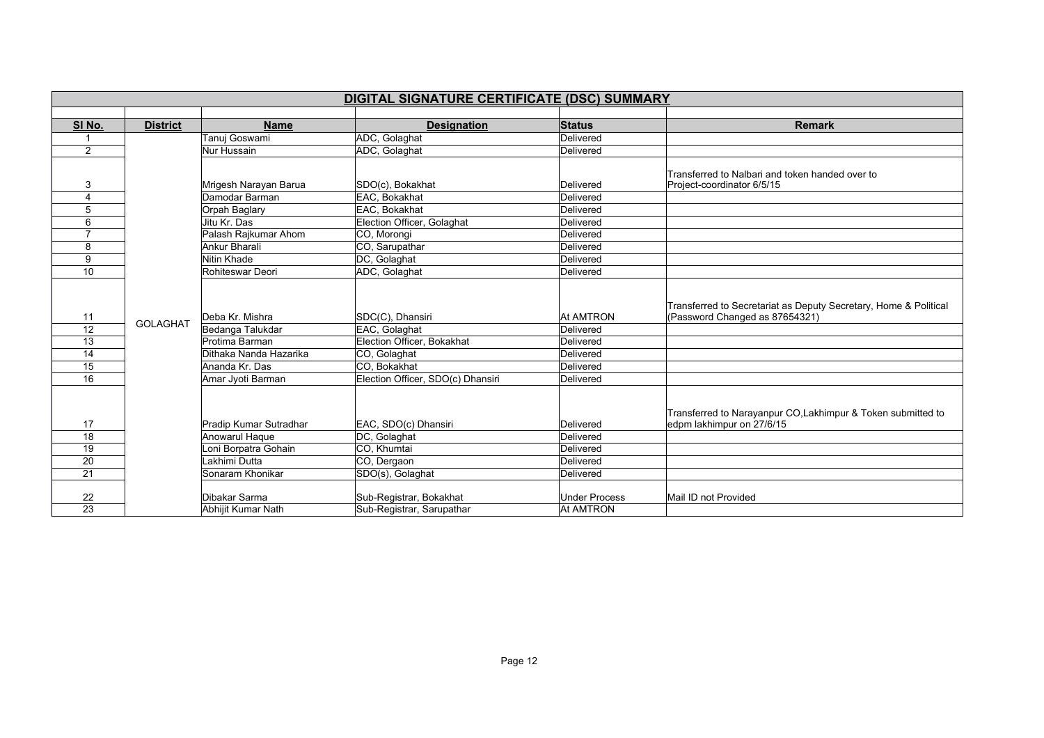|                       | DIGITAL SIGNATURE CERTIFICATE (DSC) SUMMARY |                                     |                                                      |                                          |                                                                                                    |  |  |
|-----------------------|---------------------------------------------|-------------------------------------|------------------------------------------------------|------------------------------------------|----------------------------------------------------------------------------------------------------|--|--|
|                       |                                             |                                     |                                                      |                                          |                                                                                                    |  |  |
| SI No.                | <b>District</b>                             | <b>Name</b>                         | <b>Designation</b>                                   | <b>Status</b>                            | <b>Remark</b>                                                                                      |  |  |
|                       |                                             | Tanuj Goswami                       | ADC, Golaghat                                        | Delivered                                |                                                                                                    |  |  |
| $\overline{2}$        |                                             | Nur Hussain                         | ADC, Golaghat                                        | Delivered                                |                                                                                                    |  |  |
| 3                     |                                             | Mrigesh Narayan Barua               | SDO(c), Bokakhat                                     | Delivered                                | Transferred to Nalbari and token handed over to<br>Project-coordinator 6/5/15                      |  |  |
| 4                     |                                             | Damodar Barman                      | EAC, Bokakhat                                        | Delivered                                |                                                                                                    |  |  |
| 5                     |                                             | Orpah Baglary                       | EAC, Bokakhat                                        | Delivered                                |                                                                                                    |  |  |
| 6                     |                                             | Jitu Kr. Das                        | Election Officer, Golaghat                           | Delivered                                |                                                                                                    |  |  |
| $\overline{7}$        |                                             | Palash Rajkumar Ahom                | CO, Morongi                                          | Delivered                                |                                                                                                    |  |  |
| 8                     |                                             | Ankur Bharali                       | CO, Sarupathar                                       | Delivered                                |                                                                                                    |  |  |
| 9                     |                                             | Nitin Khade                         | DC, Golaghat                                         | Delivered                                |                                                                                                    |  |  |
| 10                    |                                             | Rohiteswar Deori                    | ADC, Golaghat                                        | Delivered                                |                                                                                                    |  |  |
| 11                    | <b>GOLAGHAT</b>                             | Deba Kr. Mishra                     | SDC(C), Dhansiri                                     | <b>At AMTRON</b>                         | Transferred to Secretariat as Deputy Secretary, Home & Political<br>(Password Changed as 87654321) |  |  |
| $\overline{12}$       |                                             | Bedanga Talukdar                    | EAC, Golaghat                                        | Delivered                                |                                                                                                    |  |  |
| 13                    |                                             | Protima Barman                      | Election Officer, Bokakhat                           | Delivered                                |                                                                                                    |  |  |
| 14                    |                                             | Dithaka Nanda Hazarika              | CO, Golaghat                                         | Delivered                                |                                                                                                    |  |  |
| 15                    |                                             | Ananda Kr. Das                      | CO, Bokakhat                                         | Delivered                                |                                                                                                    |  |  |
| 16                    |                                             | Amar Jyoti Barman                   | Election Officer, SDO(c) Dhansiri                    | Delivered                                |                                                                                                    |  |  |
| 17                    |                                             | Pradip Kumar Sutradhar              | EAC, SDO(c) Dhansiri                                 | Delivered                                | Transferred to Narayanpur CO, Lakhimpur & Token submitted to<br>edpm lakhimpur on 27/6/15          |  |  |
| 18                    |                                             | Anowarul Haque                      | DC, Golaghat                                         | Delivered                                |                                                                                                    |  |  |
| 19                    |                                             | oni Borpatra Gohain                 | CO, Khumtai                                          | Delivered                                |                                                                                                    |  |  |
| 20                    |                                             | akhimi Dutta                        | CO, Dergaon                                          | Delivered                                |                                                                                                    |  |  |
| 21                    |                                             | Sonaram Khonikar                    | SDO(s), Golaghat                                     | Delivered                                |                                                                                                    |  |  |
| 22<br>$\overline{23}$ |                                             | Dibakar Sarma<br>Abhijit Kumar Nath | Sub-Registrar, Bokakhat<br>Sub-Registrar, Sarupathar | <b>Under Process</b><br><b>At AMTRON</b> | Mail ID not Provided                                                                               |  |  |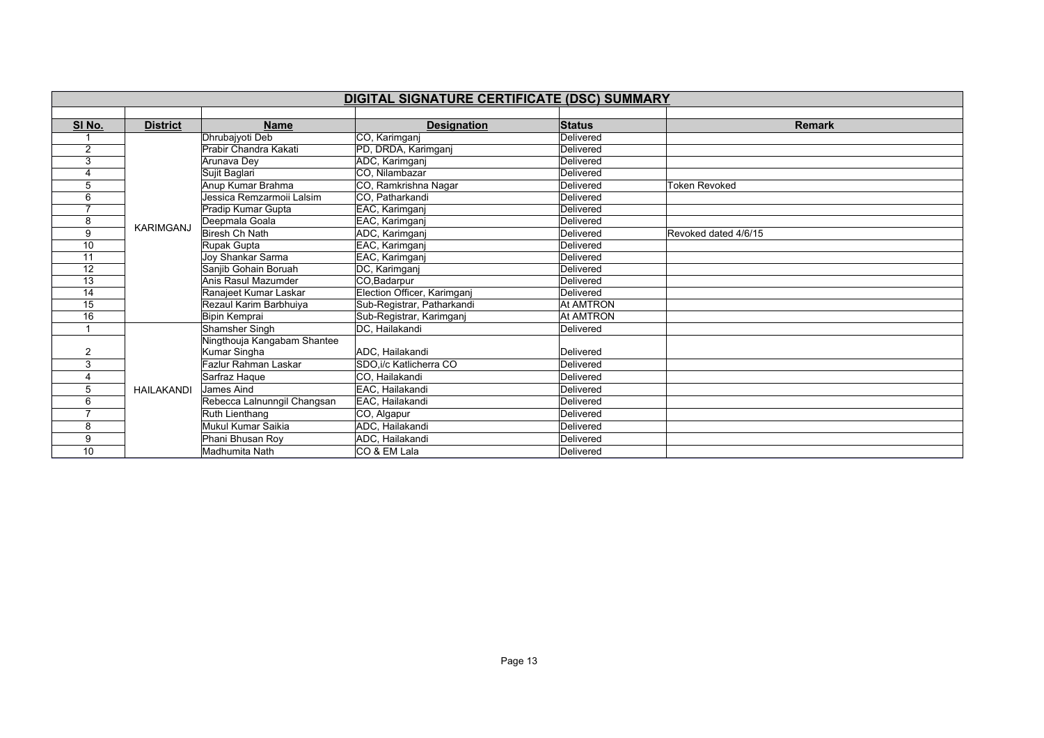| DIGITAL SIGNATURE CERTIFICATE (DSC) SUMMARY |                   |                             |                             |                  |                      |  |  |
|---------------------------------------------|-------------------|-----------------------------|-----------------------------|------------------|----------------------|--|--|
|                                             |                   |                             |                             |                  |                      |  |  |
| SI No.                                      | <b>District</b>   | <b>Name</b>                 | <b>Designation</b>          | <b>Status</b>    | <b>Remark</b>        |  |  |
|                                             |                   | Dhrubajyoti Deb             | CO, Karimganj               | <b>Delivered</b> |                      |  |  |
| $\overline{2}$                              |                   | Prabir Chandra Kakati       | PD, DRDA, Karimganj         | Delivered        |                      |  |  |
| 3                                           |                   | Arunava Dev                 | ADC, Karimganj              | Delivered        |                      |  |  |
|                                             |                   | Sujit Baglari               | CO, Nilambazar              | Delivered        |                      |  |  |
| 5                                           |                   | Anup Kumar Brahma           | CO, Ramkrishna Nagar        | Delivered        | <b>Token Revoked</b> |  |  |
| 6                                           |                   | Jessica Remzarmoii Lalsim   | CO, Patharkandi             | Delivered        |                      |  |  |
|                                             |                   | Pradip Kumar Gupta          | EAC, Karimganj              | Delivered        |                      |  |  |
| 8                                           | <b>KARIMGANJ</b>  | Deepmala Goala              | EAC, Karimganj              | Delivered        |                      |  |  |
| 9                                           |                   | Biresh Ch Nath              | ADC, Karimganj              | Delivered        | Revoked dated 4/6/15 |  |  |
| 10                                          |                   | Rupak Gupta                 | EAC, Karimganj              | Delivered        |                      |  |  |
| 11                                          |                   | Joy Shankar Sarma           | EAC, Karimganj              | Delivered        |                      |  |  |
| 12                                          |                   | Sanjib Gohain Boruah        | DC, Karimganj               | Delivered        |                      |  |  |
| 13                                          |                   | Anis Rasul Mazumder         | CO, Badarpur                | Delivered        |                      |  |  |
| 14                                          |                   | Ranajeet Kumar Laskar       | Election Officer, Karimganj | Delivered        |                      |  |  |
| 15                                          |                   | Rezaul Karim Barbhuiya      | Sub-Registrar, Patharkandi  | <b>At AMTRON</b> |                      |  |  |
| 16                                          |                   | <b>Bipin Kemprai</b>        | Sub-Registrar, Karimganj    | <b>At AMTRON</b> |                      |  |  |
|                                             |                   | Shamsher Singh              | DC, Hailakandi              | Delivered        |                      |  |  |
|                                             |                   | Ningthouja Kangabam Shantee |                             |                  |                      |  |  |
| $\overline{2}$                              |                   | Kumar Singha                | ADC, Hailakandi             | Delivered        |                      |  |  |
| 3                                           |                   | Fazlur Rahman Laskar        | SDO, i/c Katlicherra CO     | Delivered        |                      |  |  |
|                                             | <b>HAILAKANDI</b> | Sarfraz Haque               | CO, Hailakandi              | Delivered        |                      |  |  |
| 5                                           |                   | James Aind                  | EAC, Hailakandi             | Delivered        |                      |  |  |
| 6                                           |                   | Rebecca Lalnunngil Changsan | EAC, Hailakandi             | Delivered        |                      |  |  |
| $\overline{\phantom{a}}$                    |                   | Ruth Lienthang              | CO, Algapur                 | Delivered        |                      |  |  |
| 8                                           |                   | Mukul Kumar Saikia          | ADC, Hailakandi             | Delivered        |                      |  |  |
| 9                                           |                   | Phani Bhusan Roy            | ADC, Hailakandi             | Delivered        |                      |  |  |
| 10                                          |                   | Madhumita Nath              | CO & EM Lala                | Delivered        |                      |  |  |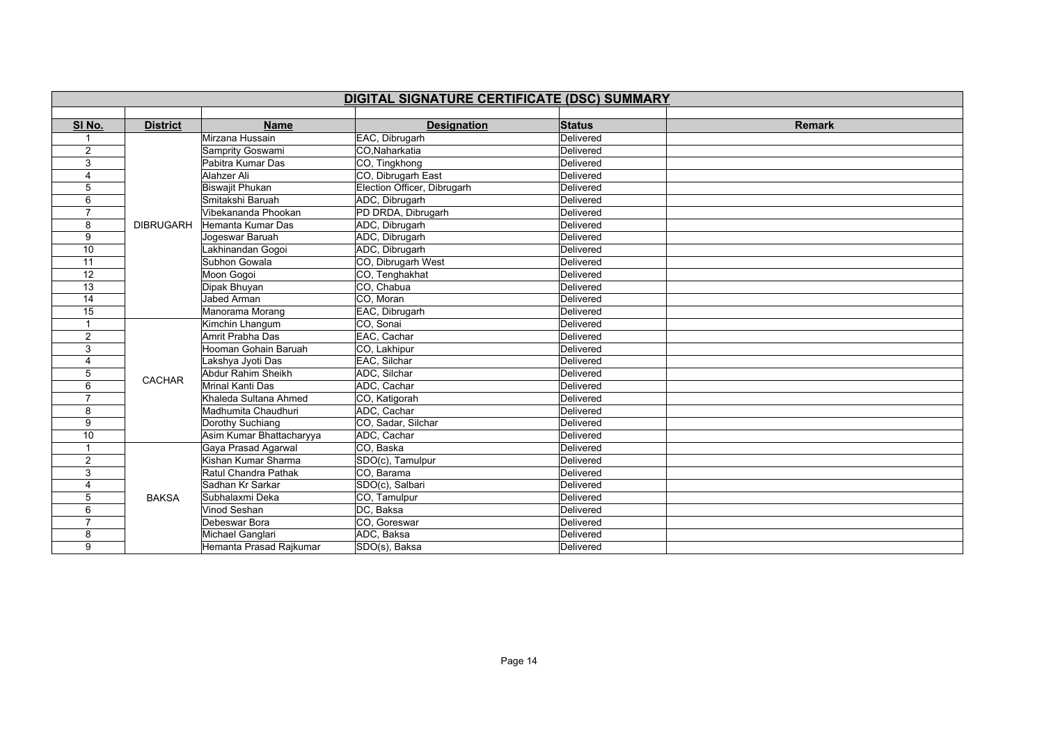| DIGITAL SIGNATURE CERTIFICATE (DSC) SUMMARY |                  |                          |                             |               |               |  |  |
|---------------------------------------------|------------------|--------------------------|-----------------------------|---------------|---------------|--|--|
|                                             |                  |                          |                             |               |               |  |  |
| SI No.                                      | <b>District</b>  | <b>Name</b>              | <b>Designation</b>          | <b>Status</b> | <b>Remark</b> |  |  |
|                                             |                  | Mirzana Hussain          | EAC, Dibrugarh              | Delivered     |               |  |  |
| $\overline{2}$                              |                  | Samprity Goswami         | CO.Naharkatia               | Delivered     |               |  |  |
| 3                                           |                  | Pabitra Kumar Das        | CO, Tingkhong               | Delivered     |               |  |  |
| 4                                           |                  | Alahzer Ali              | CO, Dibrugarh East          | Delivered     |               |  |  |
| 5                                           |                  | <b>Biswajit Phukan</b>   | Election Officer, Dibrugarh | Delivered     |               |  |  |
| 6                                           |                  | Smitakshi Baruah         | ADC, Dibrugarh              | Delivered     |               |  |  |
| $\overline{7}$                              |                  | Vibekananda Phookan      | PD DRDA, Dibrugarh          | Delivered     |               |  |  |
| 8                                           | <b>DIBRUGARH</b> | Hemanta Kumar Das        | ADC, Dibrugarh              | Delivered     |               |  |  |
| 9                                           |                  | Jogeswar Baruah          | ADC, Dibrugarh              | Delivered     |               |  |  |
| 10                                          |                  | Lakhinandan Gogoi        | ADC, Dibrugarh              | Delivered     |               |  |  |
| 11                                          |                  | Subhon Gowala            | CO, Dibrugarh West          | Delivered     |               |  |  |
| 12                                          |                  | Moon Gogoi               | CO, Tenghakhat              | Delivered     |               |  |  |
| $\overline{13}$                             |                  | Dipak Bhuyan             | CO, Chabua                  | Delivered     |               |  |  |
| 14                                          |                  | <b>Jabed Arman</b>       | CO, Moran                   | Delivered     |               |  |  |
| 15                                          |                  | Manorama Morang          | EAC, Dibrugarh              | Delivered     |               |  |  |
| $\overline{1}$                              |                  | Kimchin Lhangum          | CO, Sonai                   | Delivered     |               |  |  |
| 2                                           |                  | <b>Amrit Prabha Das</b>  | EAC, Cachar                 | Delivered     |               |  |  |
| 3                                           |                  | Hooman Gohain Baruah     | CO, Lakhipur                | Delivered     |               |  |  |
| 4                                           |                  | Lakshya Jyoti Das        | EAC, Silchar                | Delivered     |               |  |  |
| 5                                           | <b>CACHAR</b>    | Abdur Rahim Sheikh       | ADC, Silchar                | Delivered     |               |  |  |
| 6                                           |                  | Mrinal Kanti Das         | ADC, Cachar                 | Delivered     |               |  |  |
| $\overline{7}$                              |                  | Khaleda Sultana Ahmed    | CO, Katigorah               | Delivered     |               |  |  |
| 8                                           |                  | Madhumita Chaudhuri      | ADC, Cachar                 | Delivered     |               |  |  |
| 9                                           |                  | Dorothy Suchiang         | CO, Sadar, Silchar          | Delivered     |               |  |  |
| 10                                          |                  | Asim Kumar Bhattacharyya | ADC, Cachar                 | Delivered     |               |  |  |
|                                             |                  | Gaya Prasad Agarwal      | CO, Baska                   | Delivered     |               |  |  |
| 2                                           |                  | Kishan Kumar Sharma      | SDO(c), Tamulpur            | Delivered     |               |  |  |
| 3                                           |                  | Ratul Chandra Pathak     | CO, Barama                  | Delivered     |               |  |  |
|                                             |                  | Sadhan Kr Sarkar         | SDO(c), Salbari             | Delivered     |               |  |  |
| 5                                           | <b>BAKSA</b>     | Subhalaxmi Deka          | CO, Tamulpur                | Delivered     |               |  |  |
| 6                                           |                  | Vinod Seshan             | DC, Baksa                   | Delivered     |               |  |  |
| $\overline{7}$                              |                  | Debeswar Bora            | CO, Goreswar                | Delivered     |               |  |  |
| 8                                           |                  | Michael Ganglari         | ADC, Baksa                  | Delivered     |               |  |  |
| 9                                           |                  | Hemanta Prasad Rajkumar  | SDO(s), Baksa               | Delivered     |               |  |  |